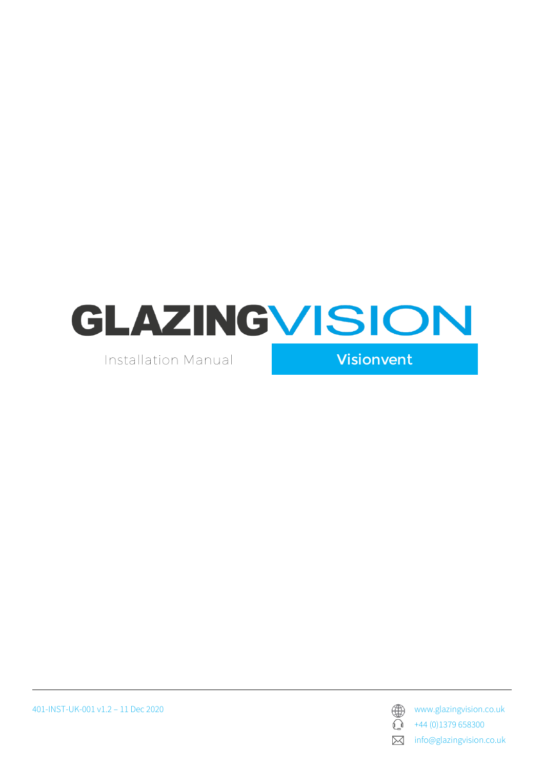

Installation Manual

Visionvent

401-INST-UK-001 v1.2 – 11 Dec 2020 www.glazingvision.co.uk



 $\bigodot$  +44 (0)1379 658300

**X** info@glazingvision.co.uk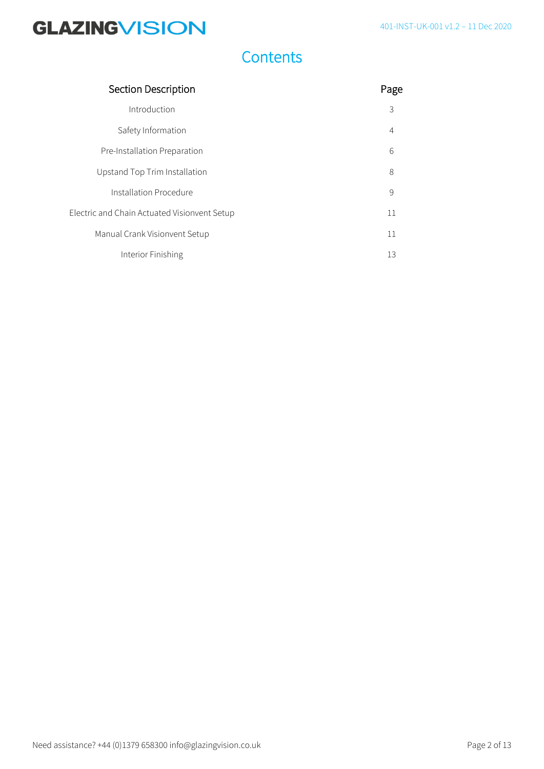### **Contents**

| Section Description                          | Page           |
|----------------------------------------------|----------------|
| Introduction                                 | 3              |
| Safety Information                           | $\overline{4}$ |
| Pre-Installation Preparation                 | 6              |
| Upstand Top Trim Installation                | 8              |
| Installation Procedure                       | 9              |
| Electric and Chain Actuated Visionvent Setup | 11             |
| Manual Crank Visionvent Setup                | 11             |
| Interior Finishing                           | 13             |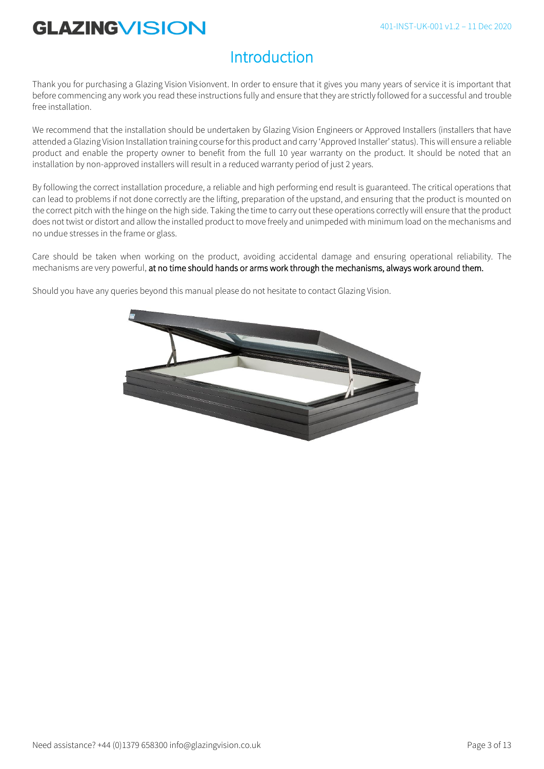### **Introduction**

Thank you for purchasing a Glazing Vision Visionvent. In order to ensure that it gives you many years of service it is important that before commencing any work you read these instructions fully and ensure that they are strictly followed for a successful and trouble free installation.

We recommend that the installation should be undertaken by Glazing Vision Engineers or Approved Installers (installers that have attended a Glazing Vision Installation training course for this product and carry 'Approved Installer' status). This will ensure a reliable product and enable the property owner to benefit from the full 10 year warranty on the product. It should be noted that an installation by non-approved installers will result in a reduced warranty period of just 2 years.

By following the correct installation procedure, a reliable and high performing end result is guaranteed. The critical operations that can lead to problems if not done correctly are the lifting, preparation of the upstand, and ensuring that the product is mounted on the correct pitch with the hinge on the high side. Taking the time to carry out these operations correctly will ensure that the product does not twist or distort and allow the installed product to move freely and unimpeded with minimum load on the mechanisms and no undue stresses in the frame or glass.

Care should be taken when working on the product, avoiding accidental damage and ensuring operational reliability. The mechanisms are very powerful, at no time should hands or arms work through the mechanisms, always work around them.

Should you have any queries beyond this manual please do not hesitate to contact Glazing Vision.

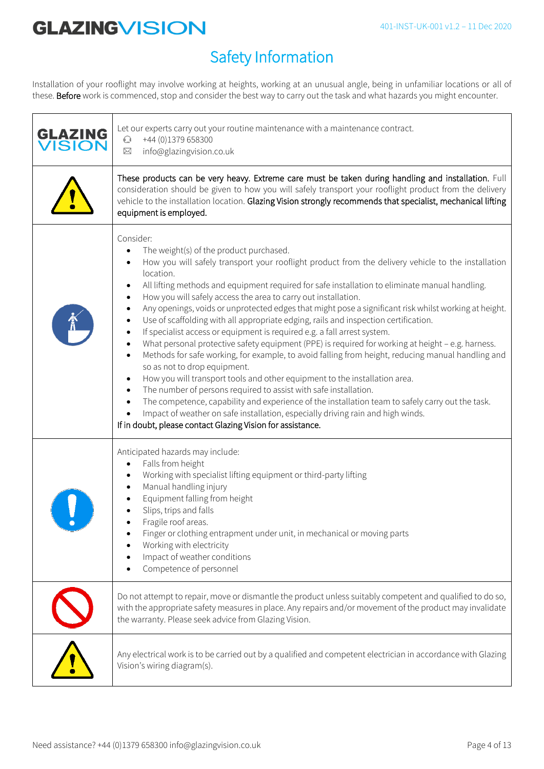## Safety Information

Installation of your rooflight may involve working at heights, working at an unusual angle, being in unfamiliar locations or all of these. Before work is commenced, stop and consider the best way to carry out the task and what hazards you might encounter.

| <b>GLAZING</b><br><b>ISION</b> | Let our experts carry out your routine maintenance with a maintenance contract.<br>+44 (0)1379 658300<br>$\mathbb{C}$<br>info@glazingvision.co.uk<br>⊠                                                                                                                                                                                                                                                                                                                                                                                                                                                                                                                                                                                                                                                                                                                                                                                                                                                                                                                                                                                                                                                                                                                                |
|--------------------------------|---------------------------------------------------------------------------------------------------------------------------------------------------------------------------------------------------------------------------------------------------------------------------------------------------------------------------------------------------------------------------------------------------------------------------------------------------------------------------------------------------------------------------------------------------------------------------------------------------------------------------------------------------------------------------------------------------------------------------------------------------------------------------------------------------------------------------------------------------------------------------------------------------------------------------------------------------------------------------------------------------------------------------------------------------------------------------------------------------------------------------------------------------------------------------------------------------------------------------------------------------------------------------------------|
|                                | These products can be very heavy. Extreme care must be taken during handling and installation. Full<br>consideration should be given to how you will safely transport your rooflight product from the delivery<br>vehicle to the installation location. Glazing Vision strongly recommends that specialist, mechanical lifting<br>equipment is employed.                                                                                                                                                                                                                                                                                                                                                                                                                                                                                                                                                                                                                                                                                                                                                                                                                                                                                                                              |
|                                | Consider:<br>The weight(s) of the product purchased.<br>How you will safely transport your rooflight product from the delivery vehicle to the installation<br>location.<br>All lifting methods and equipment required for safe installation to eliminate manual handling.<br>How you will safely access the area to carry out installation.<br>$\bullet$<br>Any openings, voids or unprotected edges that might pose a significant risk whilst working at height.<br>Use of scaffolding with all appropriate edging, rails and inspection certification.<br>If specialist access or equipment is required e.g. a fall arrest system.<br>What personal protective safety equipment (PPE) is required for working at height - e.g. harness.<br>Methods for safe working, for example, to avoid falling from height, reducing manual handling and<br>so as not to drop equipment.<br>How you will transport tools and other equipment to the installation area.<br>The number of persons required to assist with safe installation.<br>The competence, capability and experience of the installation team to safely carry out the task.<br>Impact of weather on safe installation, especially driving rain and high winds.<br>If in doubt, please contact Glazing Vision for assistance. |
|                                | Anticipated hazards may include:<br>Falls from height<br>Working with specialist lifting equipment or third-party lifting<br>Manual handling injury<br>Equipment falling from height<br>Slips, trips and falls<br>Fragile roof areas.<br>Finger or clothing entrapment under unit, in mechanical or moving parts<br>Working with electricity<br>Impact of weather conditions<br>Competence of personnel                                                                                                                                                                                                                                                                                                                                                                                                                                                                                                                                                                                                                                                                                                                                                                                                                                                                               |
|                                | Do not attempt to repair, move or dismantle the product unless suitably competent and qualified to do so,<br>with the appropriate safety measures in place. Any repairs and/or movement of the product may invalidate<br>the warranty. Please seek advice from Glazing Vision.                                                                                                                                                                                                                                                                                                                                                                                                                                                                                                                                                                                                                                                                                                                                                                                                                                                                                                                                                                                                        |
|                                | Any electrical work is to be carried out by a qualified and competent electrician in accordance with Glazing<br>Vision's wiring diagram(s).                                                                                                                                                                                                                                                                                                                                                                                                                                                                                                                                                                                                                                                                                                                                                                                                                                                                                                                                                                                                                                                                                                                                           |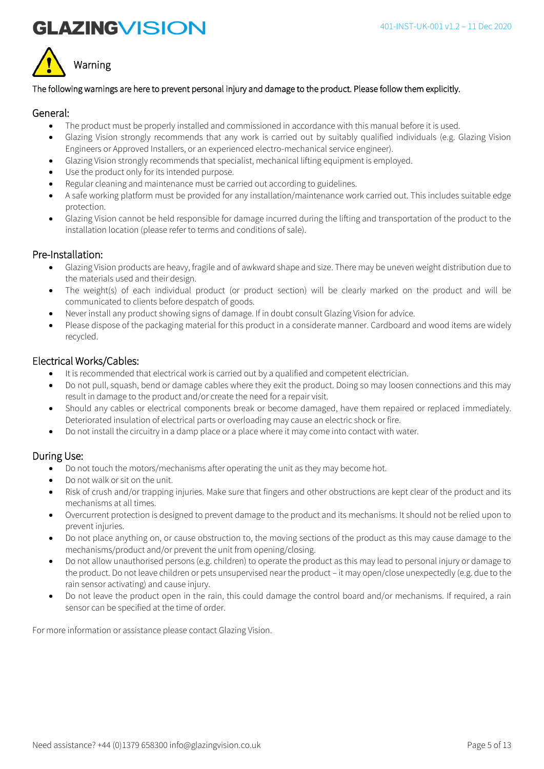



#### The following warnings are here to prevent personal injury and damage to the product. Please follow them explicitly.

#### General:

- The product must be properly installed and commissioned in accordance with this manual before it is used.
- Glazing Vision strongly recommends that any work is carried out by suitably qualified individuals (e.g. Glazing Vision Engineers or Approved Installers, or an experienced electro-mechanical service engineer).
- Glazing Vision strongly recommends that specialist, mechanical lifting equipment is employed.
- Use the product only for its intended purpose.
- Regular cleaning and maintenance must be carried out according to guidelines.
- A safe working platform must be provided for any installation/maintenance work carried out. This includes suitable edge protection.
- Glazing Vision cannot be held responsible for damage incurred during the lifting and transportation of the product to the installation location (please refer to terms and conditions of sale).

#### Pre-Installation:

- Glazing Vision products are heavy, fragile and of awkward shape and size. There may be uneven weight distribution due to the materials used and their design.
- The weight(s) of each individual product (or product section) will be clearly marked on the product and will be communicated to clients before despatch of goods.
- Never install any product showing signs of damage. If in doubt consult Glazing Vision for advice.
- Please dispose of the packaging material for this product in a considerate manner. Cardboard and wood items are widely recycled.

### Electrical Works/Cables:

- It is recommended that electrical work is carried out by a qualified and competent electrician.
- Do not pull, squash, bend or damage cables where they exit the product. Doing so may loosen connections and this may result in damage to the product and/or create the need for a repair visit.
- Should any cables or electrical components break or become damaged, have them repaired or replaced immediately. Deteriorated insulation of electrical parts or overloading may cause an electric shock or fire.
- Do not install the circuitry in a damp place or a place where it may come into contact with water.

### During Use:

- Do not touch the motors/mechanisms after operating the unit as they may become hot.
- Do not walk or sit on the unit.
- Risk of crush and/or trapping injuries. Make sure that fingers and other obstructions are kept clear of the product and its mechanisms at all times.
- Overcurrent protection is designed to prevent damage to the product and its mechanisms. It should not be relied upon to prevent injuries.
- Do not place anything on, or cause obstruction to, the moving sections of the product as this may cause damage to the mechanisms/product and/or prevent the unit from opening/closing.
- Do not allow unauthorised persons (e.g. children) to operate the product as this may lead to personal injury or damage to the product. Do not leave children or pets unsupervised near the product – it may open/close unexpectedly (e.g. due to the rain sensor activating) and cause injury.
- Do not leave the product open in the rain, this could damage the control board and/or mechanisms. If required, a rain sensor can be specified at the time of order.

For more information or assistance please contact Glazing Vision.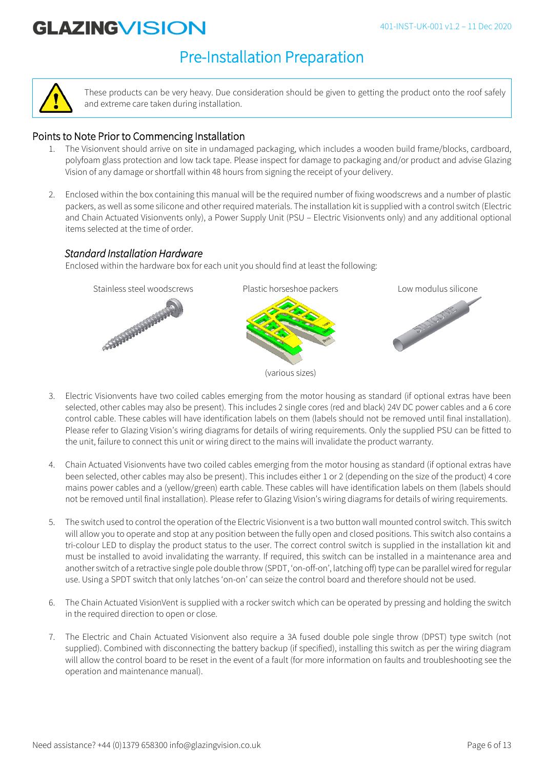### Pre-Installation Preparation



These products can be very heavy. Due consideration should be given to getting the product onto the roof safely and extreme care taken during installation.

### Points to Note Prior to Commencing Installation

- 1. The Visionvent should arrive on site in undamaged packaging, which includes a wooden build frame/blocks, cardboard, polyfoam glass protection and low tack tape. Please inspect for damage to packaging and/or product and advise Glazing Vision of any damage or shortfall within 48 hours from signing the receipt of your delivery.
- 2. Enclosed within the box containing this manual will be the required number of fixing woodscrews and a number of plastic packers, as well as some silicone and other required materials. The installation kit is supplied with a control switch (Electric and Chain Actuated Visionvents only), a Power Supply Unit (PSU – Electric Visionvents only) and any additional optional items selected at the time of order.

### *Standard Installation Hardware*

Enclosed within the hardware box for each unit you should find at least the following:



- 3. Electric Visionvents have two coiled cables emerging from the motor housing as standard (if optional extras have been selected, other cables may also be present). This includes 2 single cores (red and black) 24V DC power cables and a 6 core control cable. These cables will have identification labels on them (labels should not be removed until final installation). Please refer to Glazing Vision's wiring diagrams for details of wiring requirements. Only the supplied PSU can be fitted to the unit, failure to connect this unit or wiring direct to the mains will invalidate the product warranty.
- 4. Chain Actuated Visionvents have two coiled cables emerging from the motor housing as standard (if optional extras have been selected, other cables may also be present). This includes either 1 or 2 (depending on the size of the product) 4 core mains power cables and a (yellow/green) earth cable. These cables will have identification labels on them (labels should not be removed until final installation). Please refer to Glazing Vision's wiring diagrams for details of wiring requirements.
- 5. The switch used to control the operation of the Electric Visionvent is a two button wall mounted control switch. This switch will allow you to operate and stop at any position between the fully open and closed positions. This switch also contains a tri-colour LED to display the product status to the user. The correct control switch is supplied in the installation kit and must be installed to avoid invalidating the warranty. If required, this switch can be installed in a maintenance area and another switch of a retractive single pole double throw (SPDT, 'on-off-on', latching off) type can be parallel wired for regular use. Using a SPDT switch that only latches 'on-on' can seize the control board and therefore should not be used.
- 6. The Chain Actuated VisionVent is supplied with a rocker switch which can be operated by pressing and holding the switch in the required direction to open or close.
- 7. The Electric and Chain Actuated Visionvent also require a 3A fused double pole single throw (DPST) type switch (not supplied). Combined with disconnecting the battery backup (if specified), installing this switch as per the wiring diagram will allow the control board to be reset in the event of a fault (for more information on faults and troubleshooting see the operation and maintenance manual).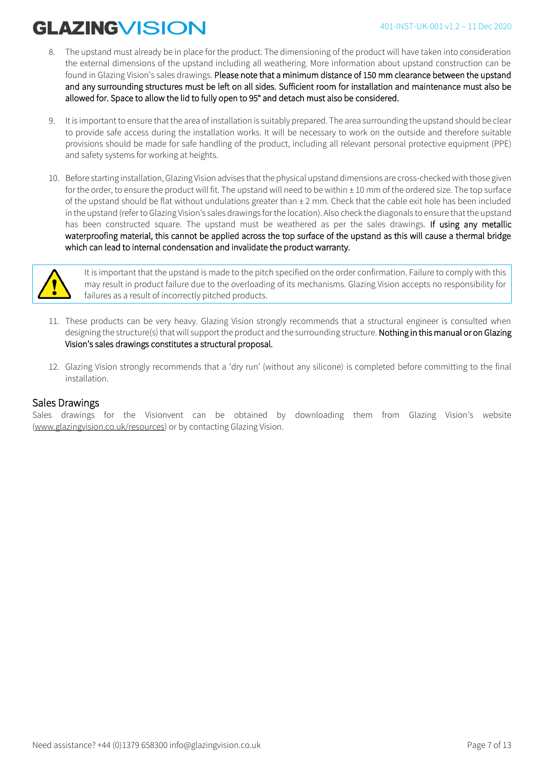- 8. The upstand must already be in place for the product. The dimensioning of the product will have taken into consideration the external dimensions of the upstand including all weathering. More information about upstand construction can be found in Glazing Vision's sales drawings. Please note that a minimum distance of 150 mm clearance between the upstand and any surrounding structures must be left on all sides. Sufficient room for installation and maintenance must also be allowed for. Space to allow the lid to fully open to 95° and detach must also be considered.
- 9. It is important to ensure that the area of installation is suitably prepared. The area surrounding the upstand should be clear to provide safe access during the installation works. It will be necessary to work on the outside and therefore suitable provisions should be made for safe handling of the product, including all relevant personal protective equipment (PPE) and safety systems for working at heights.
- 10. Before starting installation, Glazing Vision advises that the physical upstand dimensions are cross-checked with those given for the order, to ensure the product will fit. The upstand will need to be within ± 10 mm of the ordered size. The top surface of the upstand should be flat without undulations greater than  $\pm 2$  mm. Check that the cable exit hole has been included in the upstand (refer to Glazing Vision's sales drawings for the location). Also check the diagonals to ensure that the upstand has been constructed square. The upstand must be weathered as per the sales drawings. If using any metallic waterproofing material, this cannot be applied across the top surface of the upstand as this will cause a thermal bridge which can lead to internal condensation and invalidate the product warranty.



It is important that the upstand is made to the pitch specified on the order confirmation. Failure to comply with this may result in product failure due to the overloading of its mechanisms. Glazing Vision accepts no responsibility for failures as a result of incorrectly pitched products.

- 11. These products can be very heavy. Glazing Vision strongly recommends that a structural engineer is consulted when designing the structure(s) that will support the product and the surrounding structure. Nothing in this manual or on Glazing Vision's sales drawings constitutes a structural proposal.
- 12. Glazing Vision strongly recommends that a 'dry run' (without any silicone) is completed before committing to the final installation.

#### Sales Drawings

Sales drawings for the Visionvent can be obtained by downloading them from Glazing Vision's website [\(www.glazingvision.co.uk/resources\)](http://www.glazingvision.co.uk/resources) or by contacting Glazing Vision.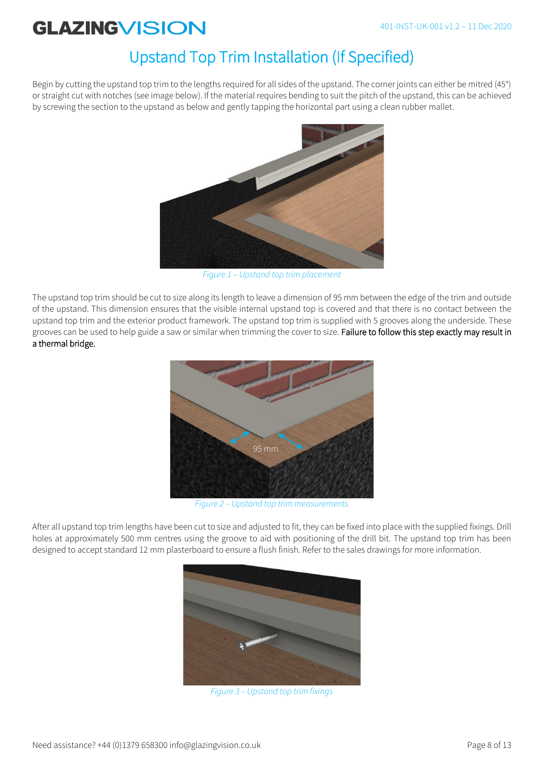## Upstand Top Trim Installation (If Specified)

Begin by cutting the upstand top trim to the lengths required for all sides of the upstand. The corner joints can either be mitred (45°) or straight cut with notches (see image below). If the material requires bending to suit the pitch of the upstand, this can be achieved by screwing the section to the upstand as below and gently tapping the horizontal part using a clean rubber mallet.



*Figure 1 – Upstand top trim placement* 

The upstand top trim should be cut to size along its length to leave a dimension of 95 mm between the edge of the trim and outside of the upstand. This dimension ensures that the visible internal upstand top is covered and that there is no contact between the upstand top trim and the exterior product framework. The upstand top trim is supplied with 5 grooves along the underside. These grooves can be used to help guide a saw or similar when trimming the cover to size. Failure to follow this step exactly may result in a thermal bridge.



*Figure 2 – Upstand top trim measurements*

After all upstand top trim lengths have been cut to size and adjusted to fit, they can be fixed into place with the supplied fixings. Drill holes at approximately 500 mm centres using the groove to aid with positioning of the drill bit. The upstand top trim has been designed to accept standard 12 mm plasterboard to ensure a flush finish. Refer to the sales drawings for more information.



*Figure 3 – Upstand top trim fixings*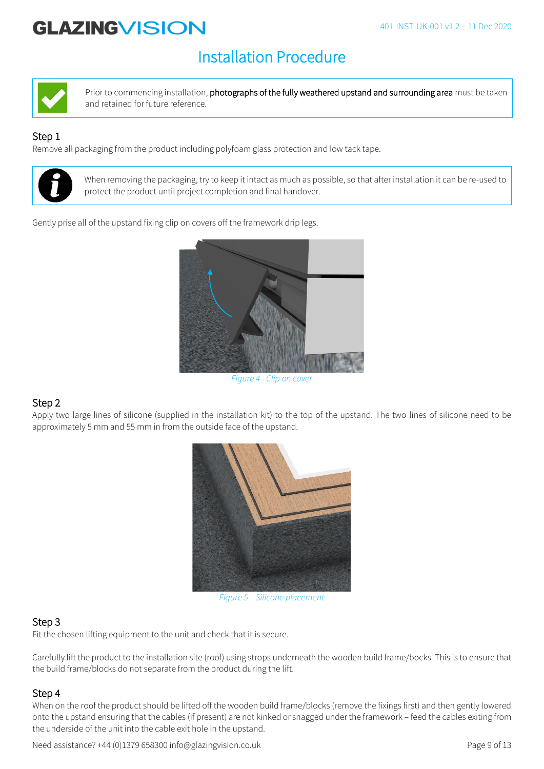### Installation Procedure



Prior to commencing installation, photographs of the fully weathered upstand and surrounding area must be taken and retained for future reference.

### Step 1

Remove all packaging from the product including polyfoam glass protection and low tack tape.



When removing the packaging, try to keep it intact as much as possible, so that after installation it can be re-used to protect the product until project completion and final handover.

Gently prise all of the upstand fixing clip on covers off the framework drip legs.



*Figure 4 - Clip on cover*

### Step 2

Apply two large lines of silicone (supplied in the installation kit) to the top of the upstand. The two lines of silicone need to be approximately 5 mm and 55 mm in from the outside face of the upstand.



*Figure 5 – Silicone placement*

### Step 3

Fit the chosen lifting equipment to the unit and check that it is secure.

Carefully lift the product to the installation site (roof) using strops underneath the wooden build frame/bocks. This is to ensure that the build frame/blocks do not separate from the product during the lift.

### Step 4

When on the roof the product should be lifted off the wooden build frame/blocks (remove the fixings first) and then gently lowered onto the upstand ensuring that the cables (if present) are not kinked or snagged under the framework – feed the cables exiting from the underside of the unit into the cable exit hole in the upstand.

Need assistance? +44 (0)1379 658300 info@glazingvision.co.uk Page 9 of 13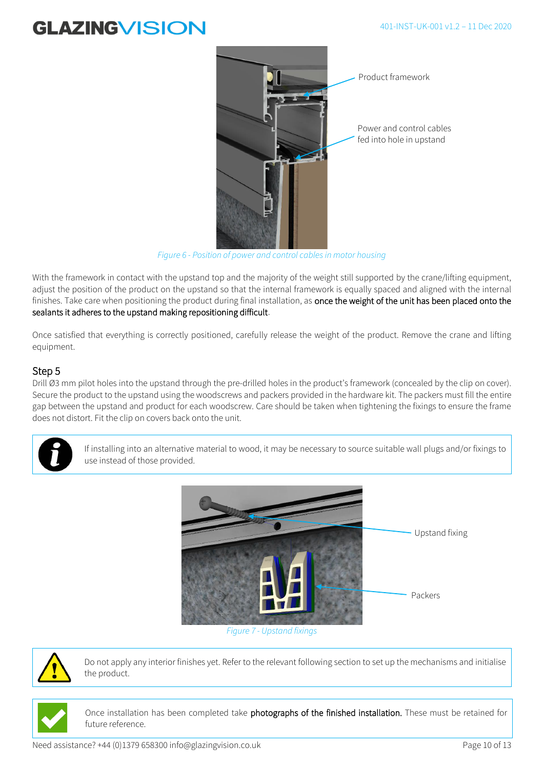

*Figure 6 - Position of power and control cables in motor housing*

With the framework in contact with the upstand top and the majority of the weight still supported by the crane/lifting equipment, adjust the position of the product on the upstand so that the internal framework is equally spaced and aligned with the internal finishes. Take care when positioning the product during final installation, as once the weight of the unit has been placed onto the sealants it adheres to the upstand making repositioning difficult.

Once satisfied that everything is correctly positioned, carefully release the weight of the product. Remove the crane and lifting equipment.

### Step 5

Drill Ø3 mm pilot holes into the upstand through the pre-drilled holes in the product's framework (concealed by the clip on cover). Secure the product to the upstand using the woodscrews and packers provided in the hardware kit. The packers must fill the entire gap between the upstand and product for each woodscrew. Care should be taken when tightening the fixings to ensure the frame does not distort. Fit the clip on covers back onto the unit.



If installing into an alternative material to wood, it may be necessary to source suitable wall plugs and/or fixings to use instead of those provided.



*Figure 7 - Upstand fixings*



Do not apply any interior finishes yet. Refer to the relevant following section to set up the mechanisms and initialise the product.

Once installation has been completed take photographs of the finished installation. These must be retained for future reference.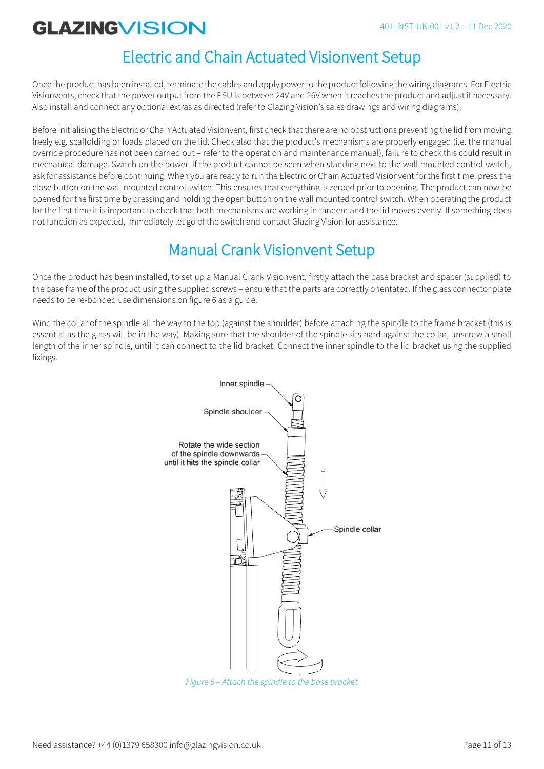### Electric and Chain Actuated Visionvent Setup

Once the product has been installed, terminate the cables and apply power to the product following the wiring diagrams. For Electric Visionvents, check that the power output from the PSU is between 24V and 26V when it reaches the product and adjust if necessary. Also install and connect any optional extras as directed (refer to Glazing Vision's sales drawings and wiring diagrams).

Before initialising the Electric or Chain Actuated Visionvent, first check that there are no obstructions preventing the lid from moving freely e.g. scaffolding or loads placed on the lid. Check also that the product's mechanisms are properly engaged (i.e. the manual override procedure has not been carried out – refer to the operation and maintenance manual), failure to check this could result in mechanical damage. Switch on the power. If the product cannot be seen when standing next to the wall mounted control switch, ask for assistance before continuing. When you are ready to run the Electric or Chain Actuated Visionvent for the first time, press the close button on the wall mounted control switch. This ensures that everything is zeroed prior to opening. The product can now be opened for the first time by pressing and holding the open button on the wall mounted control switch. When operating the product for the first time it is important to check that both mechanisms are working in tandem and the lid moves evenly. If something does not function as expected, immediately let go of the switch and contact Glazing Vision for assistance.

### Manual Crank Visionvent Setup

Once the product has been installed, to set up a Manual Crank Visionvent, firstly attach the base bracket and spacer (supplied) to the base frame of the product using the supplied screws – ensure that the parts are correctly orientated. If the glass connector plate needs to be re-bonded use dimensions on figure 6 as a guide.

Wind the collar of the spindle all the way to the top (against the shoulder) before attaching the spindle to the frame bracket (this is essential as the glass will be in the way). Making sure that the shoulder of the spindle sits hard against the collar, unscrew a small length of the inner spindle, until it can connect to the lid bracket. Connect the inner spindle to the lid bracket using the supplied fixings.



Need assistance? +44 (0)1379 658300 info@glazingvision.co.uk Page 11 of 13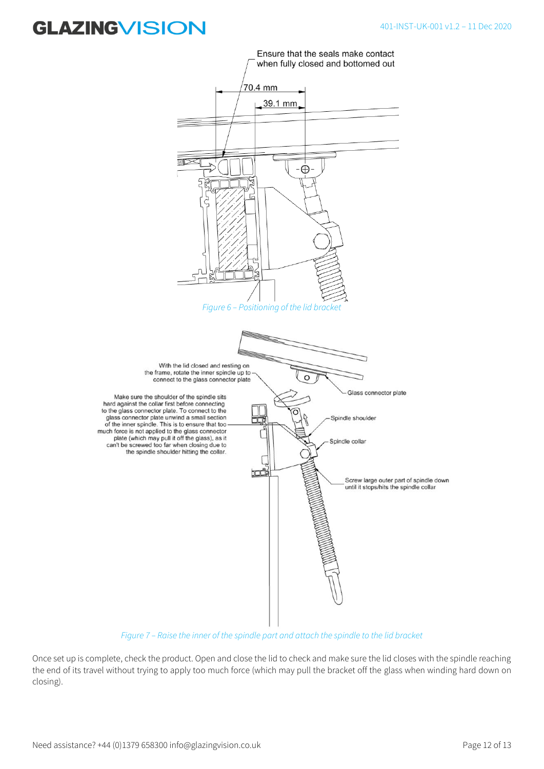

*Figure 7 – Raise the inner of the spindle part and attach the spindle to the lid bracket*

Once set up is complete, check the product. Open and close the lid to check and make sure the lid closes with the spindle reaching the end of its travel without trying to apply too much force (which may pull the bracket off the glass when winding hard down on closing).